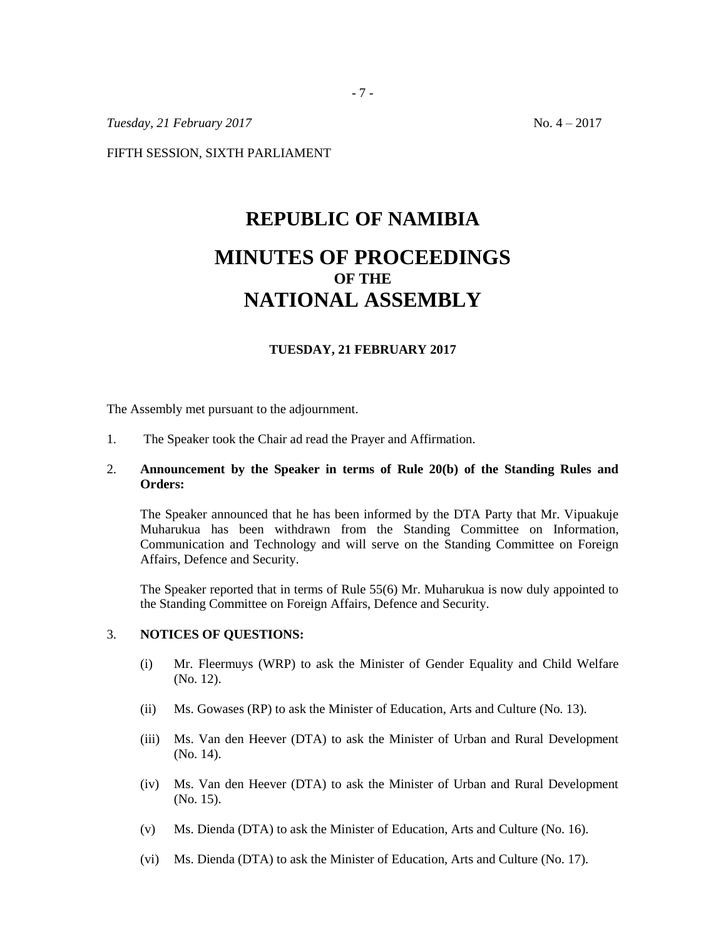*Tuesday, 21 February 2017* No. 4 – 2017

FIFTH SESSION, SIXTH PARLIAMENT

# **REPUBLIC OF NAMIBIA MINUTES OF PROCEEDINGS OF THE NATIONAL ASSEMBLY**

#### **TUESDAY, 21 FEBRUARY 2017**

The Assembly met pursuant to the adjournment.

1. The Speaker took the Chair ad read the Prayer and Affirmation.

## 2. **Announcement by the Speaker in terms of Rule 20(b) of the Standing Rules and Orders:**

The Speaker announced that he has been informed by the DTA Party that Mr. Vipuakuje Muharukua has been withdrawn from the Standing Committee on Information, Communication and Technology and will serve on the Standing Committee on Foreign Affairs, Defence and Security.

The Speaker reported that in terms of Rule 55(6) Mr. Muharukua is now duly appointed to the Standing Committee on Foreign Affairs, Defence and Security.

### 3. **NOTICES OF QUESTIONS:**

- (i) Mr. Fleermuys (WRP) to ask the Minister of Gender Equality and Child Welfare (No. 12).
- (ii) Ms. Gowases (RP) to ask the Minister of Education, Arts and Culture (No. 13).
- (iii) Ms. Van den Heever (DTA) to ask the Minister of Urban and Rural Development (No. 14).
- (iv) Ms. Van den Heever (DTA) to ask the Minister of Urban and Rural Development (No. 15).
- (v) Ms. Dienda (DTA) to ask the Minister of Education, Arts and Culture (No. 16).
- (vi) Ms. Dienda (DTA) to ask the Minister of Education, Arts and Culture (No. 17).